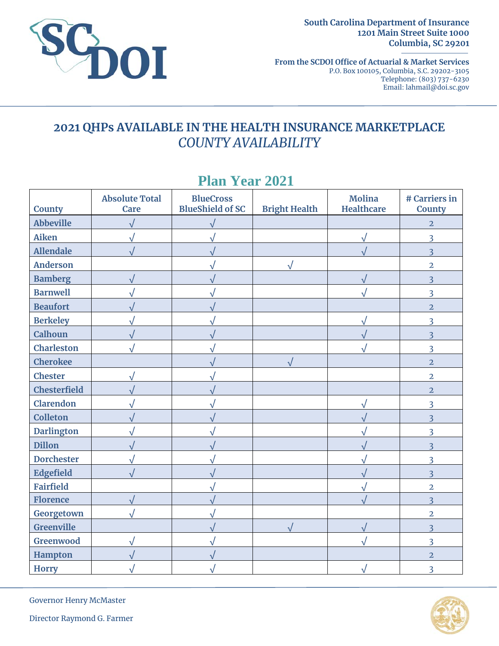

**South Carolina Department of Insurance 1201 Main Street Suite 1000 Columbia, SC 29201** 

**From the SCDOI Office of Actuarial & Market Services**  P.O. Box 100105, Columbia, S.C. 29202-3105 Telephone: (803) 737-6230 Email: lahmail@doi.sc.gov

## **2021 QHPs AVAILABLE IN THE HEALTH INSURANCE MARKETPLACE**  *COUNTY AVAILABILITY*

| <b>County</b>       | <b>Absolute Total</b><br><b>Care</b> | <b>BlueCross</b><br><b>BlueShield of SC</b> | <b>Bright Health</b> | <b>Molina</b><br><b>Healthcare</b> | # Carriers in<br><b>County</b> |
|---------------------|--------------------------------------|---------------------------------------------|----------------------|------------------------------------|--------------------------------|
| <b>Abbeville</b>    |                                      | $\sqrt{}$                                   |                      |                                    | $\overline{2}$                 |
| <b>Aiken</b>        |                                      |                                             |                      | V                                  | 3                              |
| <b>Allendale</b>    |                                      |                                             |                      |                                    | $\overline{3}$                 |
| <b>Anderson</b>     |                                      |                                             | $\sqrt{ }$           |                                    | $\overline{2}$                 |
| <b>Bamberg</b>      |                                      |                                             |                      | $\sqrt{}$                          | 3                              |
| <b>Barnwell</b>     |                                      |                                             |                      |                                    | $\overline{3}$                 |
| <b>Beaufort</b>     |                                      |                                             |                      |                                    | $\overline{2}$                 |
| <b>Berkeley</b>     |                                      |                                             |                      |                                    | 3                              |
| Calhoun             |                                      |                                             |                      |                                    | $\overline{3}$                 |
| <b>Charleston</b>   |                                      |                                             |                      |                                    | $\overline{3}$                 |
| <b>Cherokee</b>     |                                      |                                             |                      |                                    | $\overline{2}$                 |
| <b>Chester</b>      |                                      |                                             |                      |                                    | $\overline{2}$                 |
| <b>Chesterfield</b> |                                      |                                             |                      |                                    | $\overline{2}$                 |
| Clarendon           |                                      |                                             |                      |                                    | 3                              |
| <b>Colleton</b>     |                                      |                                             |                      |                                    | $\overline{3}$                 |
| <b>Darlington</b>   |                                      |                                             |                      |                                    | 3                              |
| <b>Dillon</b>       |                                      |                                             |                      |                                    | 3                              |
| <b>Dorchester</b>   |                                      |                                             |                      |                                    | $\overline{3}$                 |
| Edgefield           |                                      |                                             |                      |                                    | $\overline{\mathbf{3}}$        |
| <b>Fairfield</b>    |                                      |                                             |                      |                                    | $\overline{2}$                 |
| <b>Florence</b>     |                                      |                                             |                      |                                    | $\overline{3}$                 |
| Georgetown          |                                      |                                             |                      |                                    | $\overline{2}$                 |
| <b>Greenville</b>   |                                      |                                             |                      | √                                  | $\overline{\mathbf{3}}$        |
| Greenwood           |                                      |                                             |                      |                                    | $\overline{3}$                 |
| Hampton             |                                      |                                             |                      |                                    | $\overline{2}$                 |
| <b>Horry</b>        |                                      |                                             |                      |                                    | $\overline{3}$                 |

# **Plan Year 2021**

Governor Henry McMaster



Director Raymond G. Farmer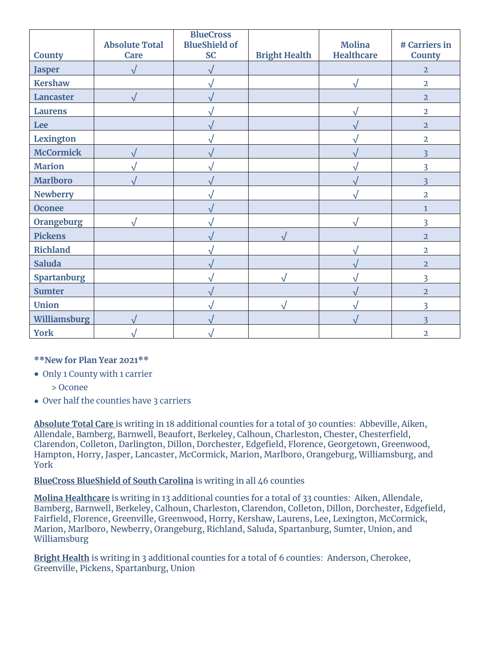| <b>County</b>      | <b>Absolute Total</b><br><b>Care</b> | <b>BlueCross</b><br><b>BlueShield of</b><br><b>SC</b> | <b>Bright Health</b> | <b>Molina</b><br><b>Healthcare</b> | # Carriers in<br><b>County</b> |
|--------------------|--------------------------------------|-------------------------------------------------------|----------------------|------------------------------------|--------------------------------|
| <b>Jasper</b>      |                                      |                                                       |                      |                                    | $\overline{2}$                 |
| <b>Kershaw</b>     |                                      |                                                       |                      | Ñ                                  | $\overline{2}$                 |
| Lancaster          | $\sqrt{}$                            |                                                       |                      |                                    | $\overline{2}$                 |
| <b>Laurens</b>     |                                      |                                                       |                      |                                    | $\overline{2}$                 |
| Lee                |                                      |                                                       |                      |                                    | $\overline{2}$                 |
| <b>Lexington</b>   |                                      |                                                       |                      |                                    | $\overline{2}$                 |
| <b>McCormick</b>   |                                      |                                                       |                      |                                    | $\overline{3}$                 |
| <b>Marion</b>      |                                      |                                                       |                      |                                    | 3                              |
| <b>Marlboro</b>    |                                      |                                                       |                      |                                    | $\overline{\mathbf{3}}$        |
| <b>Newberry</b>    |                                      |                                                       |                      |                                    | $\overline{2}$                 |
| <b>Oconee</b>      |                                      |                                                       |                      |                                    | $\mathbf{1}$                   |
| <b>Orangeburg</b>  |                                      |                                                       |                      | N                                  | $\overline{3}$                 |
| <b>Pickens</b>     |                                      |                                                       | $\sqrt{}$            |                                    | $\overline{2}$                 |
| <b>Richland</b>    |                                      |                                                       |                      |                                    | $\overline{2}$                 |
| <b>Saluda</b>      |                                      |                                                       |                      |                                    | $\overline{2}$                 |
| <b>Spartanburg</b> |                                      |                                                       |                      |                                    | 3                              |
| <b>Sumter</b>      |                                      |                                                       |                      |                                    | $\overline{2}$                 |
| <b>Union</b>       |                                      |                                                       |                      |                                    | $\overline{3}$                 |
| Williamsburg       |                                      |                                                       |                      |                                    | $\overline{\mathbf{3}}$        |
| <b>York</b>        |                                      |                                                       |                      |                                    | $\overline{2}$                 |

#### **\*\*New for Plan Year 2021\*\***

- Only 1 County with 1 carrier
	- > Oconee
- Over half the counties have 3 carriers

**Absolute Total Care** is writing in 18 additional counties for a total of 30 counties: Abbeville, Aiken, Allendale, Bamberg, Barnwell, Beaufort, Berkeley, Calhoun, Charleston, Chester, Chesterfield, Clarendon, Colleton, Darlington, Dillon, Dorchester, Edgefield, Florence, Georgetown, Greenwood, Hampton, Horry, Jasper, Lancaster, McCormick, Marion, Marlboro, Orangeburg, Williamsburg, and York

#### **BlueCross BlueShield of South Carolina** is writing in all 46 counties

**Molina Healthcare** is writing in 13 additional counties for a total of 33 counties: Aiken, Allendale, Bamberg, Barnwell, Berkeley, Calhoun, Charleston, Clarendon, Colleton, Dillon, Dorchester, Edgefield, Fairfield, Florence, Greenville, Greenwood, Horry, Kershaw, Laurens, Lee, Lexington, McCormick, Marion, Marlboro, Newberry, Orangeburg, Richland, Saluda, Spartanburg, Sumter, Union, and Williamsburg

**Bright Health** is writing in 3 additional counties for a total of 6 counties: Anderson, Cherokee, Greenville, Pickens, Spartanburg, Union